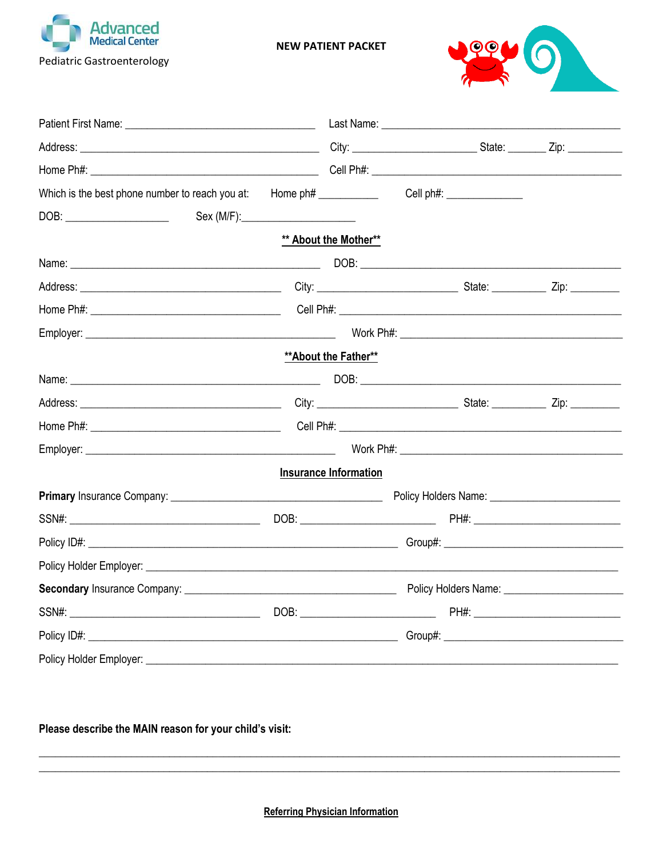

**NEW PATIENT PACKET** 



|                                    |  | ** About the Mother**        |  |                                                                                                                                                                                                                                      |
|------------------------------------|--|------------------------------|--|--------------------------------------------------------------------------------------------------------------------------------------------------------------------------------------------------------------------------------------|
|                                    |  |                              |  |                                                                                                                                                                                                                                      |
|                                    |  |                              |  |                                                                                                                                                                                                                                      |
|                                    |  |                              |  | Cell Ph#: <u>Cell Ph#: Cell Ph#: Cell Ph#: Cell Ph#: Cell Ph#: Cell Ph#: Cell Ph#: Cell Ph#: Cell Ph#: Cell Ph#: Cell Ph#: Cell Ph#: Cell Ph#: Cell Ph#: Cell Ph#: Cell Ph#: Cell Ph#: Cell Ph#: Cell Ph#: Cell Ph#: Cell Ph#: C</u> |
|                                    |  |                              |  |                                                                                                                                                                                                                                      |
|                                    |  | ** About the Father**        |  |                                                                                                                                                                                                                                      |
|                                    |  |                              |  |                                                                                                                                                                                                                                      |
|                                    |  |                              |  |                                                                                                                                                                                                                                      |
|                                    |  |                              |  |                                                                                                                                                                                                                                      |
|                                    |  |                              |  |                                                                                                                                                                                                                                      |
|                                    |  | <b>Insurance Information</b> |  |                                                                                                                                                                                                                                      |
|                                    |  |                              |  |                                                                                                                                                                                                                                      |
|                                    |  |                              |  |                                                                                                                                                                                                                                      |
|                                    |  |                              |  |                                                                                                                                                                                                                                      |
|                                    |  |                              |  |                                                                                                                                                                                                                                      |
|                                    |  |                              |  |                                                                                                                                                                                                                                      |
|                                    |  |                              |  |                                                                                                                                                                                                                                      |
|                                    |  |                              |  |                                                                                                                                                                                                                                      |
| Policy Holder Employer: __________ |  |                              |  |                                                                                                                                                                                                                                      |

## Please describe the MAIN reason for your child's visit:

**Referring Physician Information**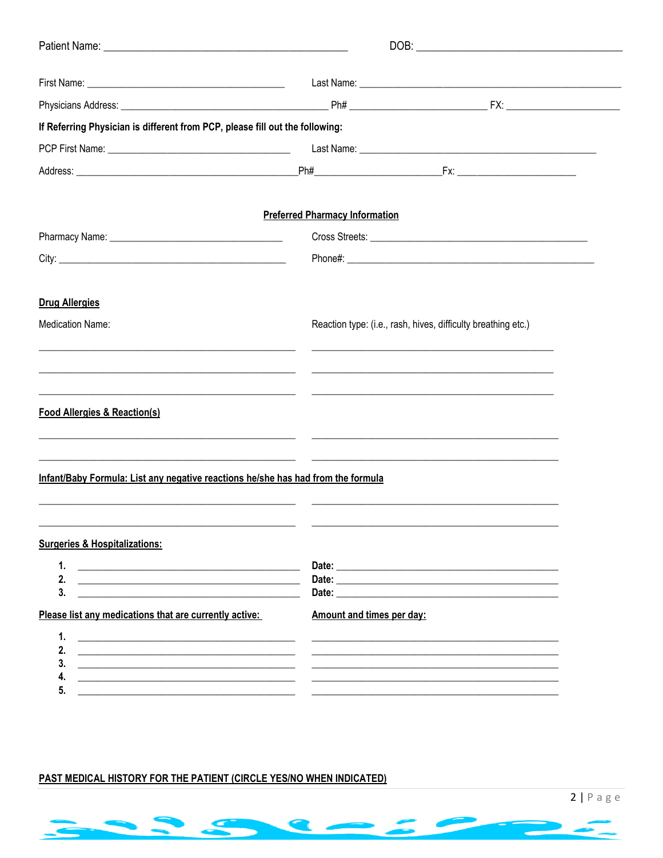| If Referring Physician is different from PCP, please fill out the following:                                                                               |                                       |                                                                                                                       |
|------------------------------------------------------------------------------------------------------------------------------------------------------------|---------------------------------------|-----------------------------------------------------------------------------------------------------------------------|
|                                                                                                                                                            |                                       |                                                                                                                       |
|                                                                                                                                                            |                                       |                                                                                                                       |
|                                                                                                                                                            | <b>Preferred Pharmacy Information</b> |                                                                                                                       |
|                                                                                                                                                            |                                       |                                                                                                                       |
|                                                                                                                                                            |                                       |                                                                                                                       |
| <b>Drug Allergies</b>                                                                                                                                      |                                       |                                                                                                                       |
| <b>Medication Name:</b>                                                                                                                                    |                                       | Reaction type: (i.e., rash, hives, difficulty breathing etc.)                                                         |
| <b>Food Allergies &amp; Reaction(s)</b><br>the contract of the contract of the contract of the contract of the contract of the contract of the contract of |                                       |                                                                                                                       |
| Infant/Baby Formula: List any negative reactions he/she has had from the formula                                                                           |                                       |                                                                                                                       |
| <b>Surgeries &amp; Hospitalizations:</b>                                                                                                                   |                                       |                                                                                                                       |
| 1.                                                                                                                                                         |                                       |                                                                                                                       |
| 3.                                                                                                                                                         |                                       |                                                                                                                       |
| Please list any medications that are currently active:                                                                                                     | Amount and times per day:             |                                                                                                                       |
| 1.<br><u> 1980 - John Stein, Amerikaansk politiker († 1908)</u>                                                                                            |                                       |                                                                                                                       |
| 2.<br>3.<br><u> 1989 - Johann Stein, fransk politik (f. 1989)</u>                                                                                          |                                       | <u> 1990 - Johann Harry Harry Harry Harry Harry Harry Harry Harry Harry Harry Harry Harry Harry Harry Harry Harry</u> |
| 4.<br><u> 1989 - John Stein, Amerikaansk politiker (* 1958)</u><br>5.                                                                                      |                                       |                                                                                                                       |
| <u> 1989 - Johann Stein, fransk politik (f. 1989)</u>                                                                                                      |                                       |                                                                                                                       |

## PAST MEDICAL HISTORY FOR THE PATIENT (CIRCLE YES/NO WHEN INDICATED)

m

<u>e anno 1989</u>



<u> Alban Ser</u>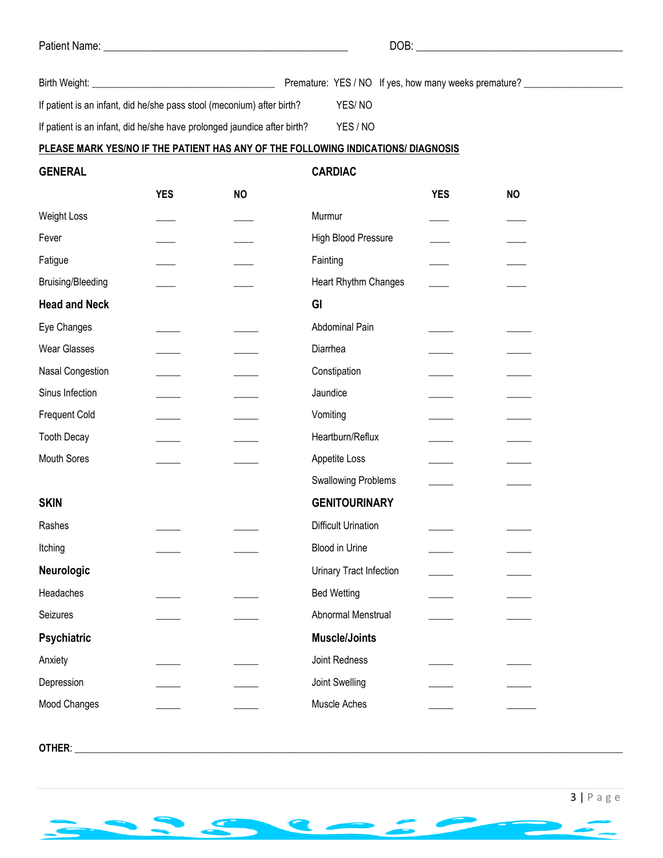| Patient Name: |  |
|---------------|--|
|---------------|--|

Patient Name: \_\_\_\_\_\_\_\_\_\_\_\_\_\_\_\_\_\_\_\_\_\_\_\_\_\_\_\_\_\_\_\_\_\_\_\_\_\_\_\_\_\_\_\_\_ DOB: \_\_\_\_\_\_\_\_\_\_\_\_\_\_\_\_\_\_\_\_\_\_\_\_\_\_\_\_\_\_\_\_\_\_\_\_\_\_

| Birth Weight:                                                          |        | Premature: YES / NO If yes, how many weeks premature? |  |
|------------------------------------------------------------------------|--------|-------------------------------------------------------|--|
| If patient is an infant, did he/she pass stool (meconium) after birth? | YES/NO |                                                       |  |

If patient is an infant, did he/she have prolonged jaundice after birth? YES / NO

#### **PLEASE MARK YES/NO IF THE PATIENT HAS ANY OF THE FOLLOWING INDICATIONS/ DIAGNOSIS**

**GENERAL CARDIAC**

|                          | <b>YES</b> | <b>NO</b> |                            | <b>YES</b> | <b>NO</b> |
|--------------------------|------------|-----------|----------------------------|------------|-----------|
| Weight Loss              |            |           | Murmur                     |            |           |
| Fever                    |            |           | High Blood Pressure        |            |           |
| Fatigue                  |            |           | Fainting                   |            |           |
| <b>Bruising/Bleeding</b> |            |           | Heart Rhythm Changes       |            |           |
| <b>Head and Neck</b>     |            |           | GI                         |            |           |
| Eye Changes              |            |           | Abdominal Pain             |            |           |
| <b>Wear Glasses</b>      |            |           | Diarrhea                   |            |           |
| Nasal Congestion         |            |           | Constipation               |            |           |
| Sinus Infection          |            |           | Jaundice                   |            |           |
| <b>Frequent Cold</b>     |            |           | Vomiting                   |            |           |
| <b>Tooth Decay</b>       |            |           | Heartburn/Reflux           |            |           |
| <b>Mouth Sores</b>       |            |           | Appetite Loss              |            |           |
|                          |            |           | <b>Swallowing Problems</b> |            |           |
| <b>SKIN</b>              |            |           | <b>GENITOURINARY</b>       |            |           |
| Rashes                   |            |           | <b>Difficult Urination</b> |            |           |
| Itching                  |            |           | Blood in Urine             |            |           |
| Neurologic               |            |           | Urinary Tract Infection    |            |           |
| Headaches                |            |           | <b>Bed Wetting</b>         |            |           |
| Seizures                 |            |           | Abnormal Menstrual         |            |           |
| Psychiatric              |            |           | <b>Muscle/Joints</b>       |            |           |
| Anxiety                  |            |           | Joint Redness              |            |           |
| Depression               |            |           | Joint Swelling             |            |           |
| Mood Changes             |            |           | Muscle Aches               |            |           |
|                          |            |           |                            |            |           |

**OTHER**: \_\_\_\_\_\_\_\_\_\_\_\_\_\_\_\_\_\_\_\_\_\_\_\_\_\_\_\_\_\_\_\_\_\_\_\_\_\_\_\_\_\_\_\_\_\_\_\_\_\_\_\_\_\_\_\_\_\_\_\_\_\_\_\_\_\_\_\_\_\_\_\_\_\_\_\_\_\_\_\_\_\_\_\_\_\_\_\_\_\_\_\_\_\_\_\_\_\_\_\_\_\_\_\_\_\_\_\_\_\_\_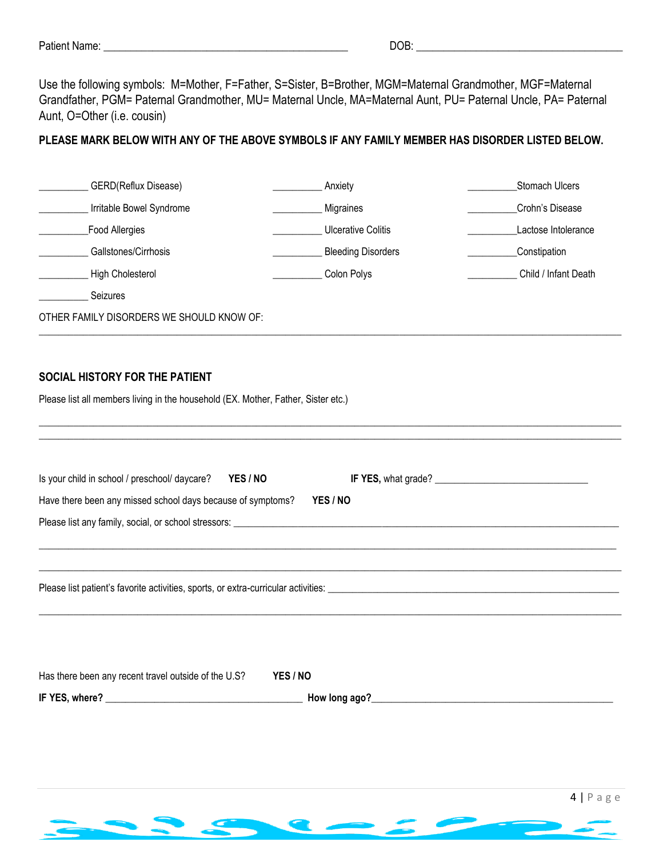| Patient<br>: Name: | DOB:<br>-<br>--<br>_______ |
|--------------------|----------------------------|
|                    |                            |

Use the following symbols: M=Mother, F=Father, S=Sister, B=Brother, MGM=Maternal Grandmother, MGF=Maternal Grandfather, PGM= Paternal Grandmother, MU= Maternal Uncle, MA=Maternal Aunt, PU= Paternal Uncle, PA= Paternal Aunt, O=Other (i.e. cousin)

### **PLEASE MARK BELOW WITH ANY OF THE ABOVE SYMBOLS IF ANY FAMILY MEMBER HAS DISORDER LISTED BELOW.**

| GERD(Reflux Disease)                                                              | Anxiety                   | Stomach Ulcers       |  |  |
|-----------------------------------------------------------------------------------|---------------------------|----------------------|--|--|
| Irritable Bowel Syndrome<br>Crohn's Disease<br>Migraines                          |                           |                      |  |  |
| Food Allergies                                                                    | Lactose Intolerance       |                      |  |  |
| Gallstones/Cirrhosis                                                              | <b>Bleeding Disorders</b> | Constipation         |  |  |
| High Cholesterol                                                                  | Colon Polys               | Child / Infant Death |  |  |
| Seizures                                                                          |                           |                      |  |  |
| OTHER FAMILY DISORDERS WE SHOULD KNOW OF:                                         |                           |                      |  |  |
|                                                                                   |                           |                      |  |  |
| SOCIAL HISTORY FOR THE PATIENT                                                    |                           |                      |  |  |
| Please list all members living in the household (EX. Mother, Father, Sister etc.) |                           |                      |  |  |
|                                                                                   |                           |                      |  |  |
|                                                                                   |                           |                      |  |  |
| Is your child in school / preschool/ daycare?<br>YES / NO                         |                           |                      |  |  |
| Have there been any missed school days because of symptoms?                       | YES / NO                  |                      |  |  |
|                                                                                   |                           |                      |  |  |
|                                                                                   |                           |                      |  |  |
|                                                                                   |                           |                      |  |  |
|                                                                                   |                           |                      |  |  |
|                                                                                   |                           |                      |  |  |
|                                                                                   |                           |                      |  |  |
|                                                                                   |                           |                      |  |  |
| Has there been any recent travel outside of the U.S?                              | YES / NO                  |                      |  |  |
|                                                                                   |                           |                      |  |  |
|                                                                                   |                           |                      |  |  |
|                                                                                   |                           |                      |  |  |
|                                                                                   |                           |                      |  |  |